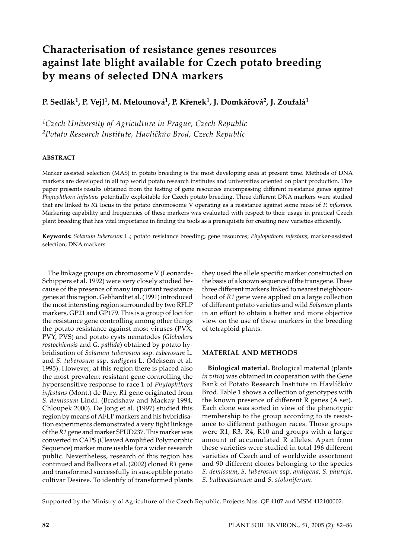# **Characterisation of resistance genes resources against late blight available for Czech potato breeding by means of selected DNA markers**

**P. Sedlák1, P. Vejl1, M. Melounová1, P. Křenek1, J. Domkářová2, J. Zoufalá1**

*1Czech University of Agriculture in Prague, Czech Republic 2Potato Research Institute, Havlíčkův Brod, Czech Republic*

# **ABSTRACT**

Marker assisted selection (MAS) in potato breeding is the most developing area at present time. Methods of DNA markers are developed in all top world potato research institutes and universities oriented on plant production. This paper presents results obtained from the testing of gene resources encompassing different resistance genes against *Phytophthora infestans* potentially exploitable for Czech potato breeding. Three different DNA markers were studied that are linked to *R1* locus in the potato chromosome V operating as a resistance against some races of *P. infestans*. Markering capability and frequencies of these markers was evaluated with respect to their usage in practical Czech plant breeding that has vital importance in finding the tools as a prerequisite for creating new varieties efficiently.

**Keywords:** *Solanum tuberosum* L.; potato resistance breeding; gene resources; *Phytophthora infestans*; marker-assisted selection; DNA markers

The linkage groups on chromosome V (Leonards-Schippers et al. 1992) were very closely studied because of the presence of many important resistance genes at this region. Gebhardt et al. (1991) introduced the most interesting region surrounded by two RFLP markers, GP21 and GP179. This is a group of loci for the resistance gene controlling among other things the potato resistance against most viruses (PVX, PVY, PVS) and potato cysts nematodes (*Globodera rostochiensis* and *G. pallida*) obtained by potato hybridisation of *Solanum tuberosum* ssp. *tuberosum* L. and *S. tuberosum* ssp. *andigena* L. (Meksem et al. 1995). However, at this region there is placed also the most prevalent resistant gene controlling the hypersensitive response to race 1 of *Phytophthora infestans* (Mont.) de Bary, *R1* gene originated from *S. demissum* Lindl. (Bradshaw and Mackay 1994, Chloupek 2000). De Jong et al. (1997) studied this region by means of AFLP markers and his hybridisation experiments demonstrated a very tight linkage of the *R1* gene and marker SPUD237. This marker was converted in CAPS (Cleaved Amplified Polymorphic Sequence) marker more usable for a wider research public. Nevertheless, research of this region has continued and Ballvora et al. (2002) cloned *R1* gene and transformed successfully in susceptible potato cultivar Desiree. To identify of transformed plants

they used the allele specific marker constructed on the basis of a known sequence of the transgene. These three different markers linked to nearest neighbourhood of *R1* gene were applied on a large collection of different potato varieties and wild *Solanum* plants in an effort to obtain a better and more objective view on the use of these markers in the breeding of tetraploid plants.

# **MATERIAL AND METHODS**

**Biological material.** Biological material (plants *in vitro*) was obtained in cooperation with the Gene Bank of Potato Research Institute in Havlíčkův Brod. Table 1 shows a collection of genotypes with the known presence of different R genes (A set). Each clone was sorted in view of the phenotypic membership to the group according to its resistance to different pathogen races. Those groups were R1, R3, R4, R10 and groups with a larger amount of accumulated R alleles. Apart from these varieties were studied in total 196 different varieties of Czech and of worldwide assortment and 90 different clones belonging to the species *S. demissum*, *S. tuberosum* ssp*. andigena*, *S. phureja*, *S. bulbocastanum* and *S. stoloniferum*.

Supported by the Ministry of Agriculture of the Czech Republic, Projects Nos. QF 4107 and MSM 412100002.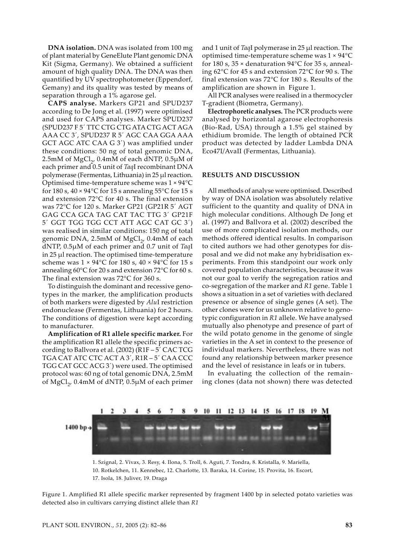**DNA isolation.** DNA was isolated from 100 mg of plant material by GeneElute Plant genomic DNA Kit (Sigma, Germany). We obtained a sufficient amount of high quality DNA. The DNA was then quantified by UV spectrophotometer (Eppendorf, Gemany) and its quality was tested by means of separation through a 1% agarose gel.

**CAPS analyse.** Markers GP21 and SPUD237 according to De Jong et al. (1997) were optimised and used for CAPS analyses. Marker SPUD237 (SPUD237 F 5´ TTC CTG CTG ATA CTG ACT AGA AAA CC 3´, SPUD237 R 5´ AGC CAA GGA AAA GCT AGC ATC CAA G 3´) was amplified under these conditions: 50 ng of total genomic DNA, 2.5mM of  $MgCl<sub>2</sub>$ , 0.4mM of each dNTP, 0.5 $\mu$ M of each primer and 0.5 unit of *Taq*I recombinant DNA polymerase (Fermentas, Lithuania) in 25 µl reaction. Optimised time-temperature scheme was 1 × 94°C for 180 s,  $40 \times 94$ °C for 15 s annealing 55°C for 15 s and extension 72°C for 40 s. The final extension was 72°C for 120 s. Marker GP21 (GP21R 5´ AGT GAG CCA GCA TAG CAT TAC TTG 3´ GP21F 5´ GGT TGG TGG CCT ATT AGC CAT GC 3´) was realised in similar conditions: 150 ng of total genomic DNA, 2.5mM of  $MgCl<sub>2</sub>$ , 0.4mM of each dNTP, 0.5µM of each primer and 0.7 unit of *Taq*I in 25 µl reaction. The optimised time-temperature scheme was  $1 \times 94$ °C for 180 s,  $40 \times 94$ °C for 15 s annealing 60°C for 20 s and extension 72°C for 60 s. The final extension was 72°C for 360 s.

To distinguish the dominant and recessive genotypes in the marker, the amplification products of both markers were digested by *Alu*I restriction endonuclease (Fermentas, Lithuania) for 2 hours. The conditions of digestion were kept according to manufacturer.

**Amplification of R1 allele specific marker.** For the amplification R1 allele the specific primers according to Ballvora et al. (2002) (R1F – 5´ CAC TCG TGA CAT ATC CTC ACT A 3´, R1R – 5´ CAA CCC TGG CAT GCC ACG 3´) were used. The optimised protocol was: 60 ng of total genomic DNA, 2.5mM of MgCl<sub>2</sub>, 0.4mM of dNTP, 0.5µM of each primer

and 1 unit of *Taq*I polymerase in 25 µl reaction. The optimised time-temperature scheme was 1 × 94°C for 180 s, 35  $\times$  denaturation 94 $\degree$ C for 35 s, annealing 62°C for 45 s and extension 72°C for 90 s. The final extension was 72°C for 180 s. Results of the amplification are shown in Figure 1.

All PCR analyses were realised in a thermocycler T-gradient (Biometra, Germany).

**Electrophoretic analyses.** The PCR products were analysed by horizontal agarose electrophoresis (Bio-Rad, USA) through a 1.5% gel stained by ethidium bromide. The length of obtained PCR product was detected by ladder Lambda DNA Eco47I/AvaII (Fermentas, Lithuania).

#### **RESULTS AND DISCUSSION**

All methods of analyse were optimised. Described by way of DNA isolation was absolutely relative sufficient to the quantity and quality of DNA in high molecular conditions. Although De Jong et al. (1997) and Ballvora et al. (2002) described the use of more complicated isolation methods, our methods offered identical results. In comparison to cited authors we had other genotypes for disposal and we did not make any hybridisation experiments. From this standpoint our work only covered population characteristics, because it was not our goal to verify the segregation ratios and co-segregation of the marker and *R1* gene. Table 1 shows a situation in a set of varieties with declared presence or absence of single genes (A set). The other clones were for us unknown relative to genotypic configuration in *R1* allele. We have analysed mutually also phenotype and presence of part of the wild potato genome in the genome of single varieties in the A set in context to the presence of individual markers. Nevertheless, there was not found any relationship between marker presence and the level of resistance in leafs or in tubers.

In evaluating the collection of the remaining clones (data not shown) there was detected



1. Szignal, 2. Vivax, 3. Resy, 4. Ilona, 5. Troll, 6. Aguti, 7. Tondra, 8. Kristalla, 9. Mariella, 10. Rotkelchen, 11. Kennebec, 12. Charlotte, 13. Baraka, 14. Corine, 15. Provita, 16. Escort, 17. Isola, 18. Juliver, 19. Draga

Figure 1. Amplified R1 allele specific marker represented by fragment 1400 bp in selected potato varieties was detected also in cultivars carrying distinct allele than *R1*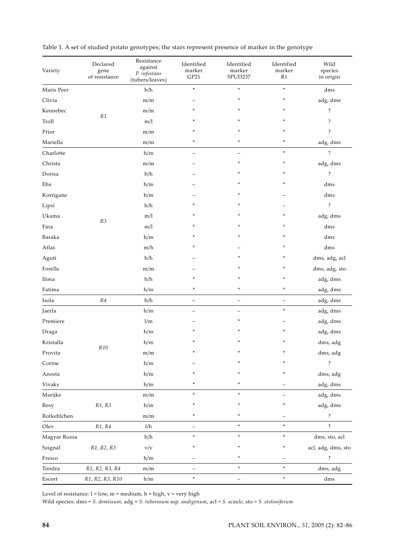| Variety      | Declared<br>gene<br>of resistance | Resistance<br>against<br>P. infestans<br>(tubers/leaves) | Identified<br>marker<br>GP21 | Identified<br>marker<br>SPUD237 | Identified<br>marker<br>R1 | Wild<br>species<br>in origin |
|--------------|-----------------------------------|----------------------------------------------------------|------------------------------|---------------------------------|----------------------------|------------------------------|
| Maris Peer   |                                   | h/h                                                      | $\ast$                       | $\ast$                          | $\ast$                     | dms                          |
| Clivia       | $\mathbb{R}1$                     | m/m                                                      |                              | *                               | *                          | adg, dms                     |
| Kennebec     |                                   | m/m                                                      | $\ast$                       | ×.                              | ∗                          | $\ddot{?}$                   |
| Troll        |                                   | m/l                                                      |                              | *                               | ∗                          | $\ddot{?}$                   |
| Prior        |                                   | m/m                                                      | $\ast$                       | ×.                              | ÷                          | $\ddot{?}$                   |
| Mariella     |                                   | m/m                                                      | $\ast$                       | ×.                              | *                          | adg, dms                     |
| Charlotte    |                                   | h/m                                                      |                              |                                 | $\ast$                     | $\overline{\cdot}$           |
| Christa      |                                   | m/m                                                      |                              | ×.                              | $\ast$                     | adg, dms                     |
| Dorisa       |                                   | h/h                                                      |                              | *                               |                            | ?                            |
| Eba          |                                   | h/m                                                      |                              | ×.                              | ∗                          | dms                          |
| Korrigane    |                                   | h/m                                                      |                              | *                               |                            | dms                          |
| Lipsi        |                                   | h/h                                                      |                              | *                               |                            | $\overline{?}$               |
| Ukama        |                                   | m/l                                                      |                              | ×.                              | ÷                          | adg, dms                     |
| Fina         | R3                                | m/l                                                      |                              | $\ast$                          | ×                          | dms                          |
| Baraka       |                                   | h/m                                                      |                              | ×                               | $\ast$                     | dms                          |
| Atlas        |                                   | m/h                                                      |                              |                                 | ×                          | dms                          |
| Aguti        |                                   | h/h                                                      |                              | *                               | ×                          | dms, adg, acl                |
| Forelle      |                                   | m/m                                                      |                              |                                 | $\ast$                     | dms, adg, sto                |
| Ilona        |                                   | h/h                                                      |                              | *                               | *                          | adg, dms                     |
| Fatima       |                                   | h/m                                                      | $\ast$                       | ×.                              | $\ast$                     | adg, dms                     |
| Isola        | ${\it R4}$                        | h/h                                                      |                              | $\overline{\phantom{0}}$        | -                          | adg, dms                     |
| Jaerla       | R10                               | h/m                                                      |                              |                                 | $\ast$                     | adg, dms                     |
| Premiere     |                                   | 1/m                                                      |                              | ×.                              |                            | adg, dms                     |
| Draga        |                                   | h/m                                                      |                              |                                 |                            | adg, dms                     |
| Kristalla    |                                   | h/m                                                      |                              |                                 |                            | dms, adg                     |
| Provita      |                                   | m/m                                                      | *                            | *                               | ÷                          | ${\rm dms},\,{\rm adg}$      |
| Corine       |                                   | h/m                                                      |                              | *                               | ×                          | $\ddot{?}$                   |
| Anosta       |                                   | h/m                                                      |                              | ×                               | ×                          | dms, adg                     |
| Vivaks       |                                   | h/m                                                      |                              | *                               |                            | adg, dms                     |
| Marijke      | R1, R3                            | m/m                                                      | $\ast$                       | *                               |                            | adg, dms                     |
| Resy         |                                   | h/m                                                      | ×                            | *                               | *                          | adg, dms                     |
| Rotkehlchen  |                                   | m/m                                                      | *                            | *                               |                            | $\ddot{?}$                   |
| ${\rm Olev}$ | R1, R4                            | 1/h                                                      | $\qquad \qquad -$            | $\ast$                          | $\ast$                     | $\overline{\cdot}$           |
| Magyar Rozsa |                                   | h/h                                                      | $\ast$                       | $\ast$                          | $\ast$                     | dms, sto, acl                |
| Szignal      | R1, R2, R3                        | $\rm v/v$                                                | ×                            | *                               | ×                          | acl, adg, dms, sto           |
| Fresco       |                                   | h/m                                                      |                              | *                               |                            | $\ddot{?}$                   |
| Tondra       | R1, R2, R3, R4                    | m/m                                                      |                              | $\ast$                          | $\ast$                     | dms, adg                     |
| Escort       | R1, R2, R3, R10                   | h/m                                                      | $\ast$                       | $\qquad \qquad -$               | $\ast$                     | dms                          |

| Table 1. A set of studied potato genotypes; the stars represent presence of marker in the genotype |  |
|----------------------------------------------------------------------------------------------------|--|
|----------------------------------------------------------------------------------------------------|--|

Level of resistance:  $l = low$ ,  $m = medium$ ,  $h = high$ ,  $v = very high$ 

Wild species: dms = S. demissum, adg = S. tuberosum ssp. andigenum, acl = S. acaule, sto = S. stoloniferum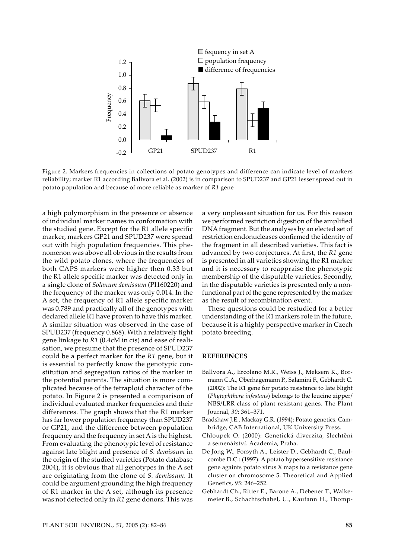

Figure 2. Markers frequencies in collections of potato genotypes and difference can indicate level of markers reliability; marker R1 according Ballvora et al. (2002) is in comparison to SPUD237 and GP21 lesser spread out in potato population and because of more reliable as marker of *R1* gene

a high polymorphism in the presence or absence of individual marker names in conformation with the studied gene. Except for the R1 allele specific marker, markers GP21 and SPUD237 were spread out with high population frequencies. This phenomenon was above all obvious in the results from the wild potato clones, where the frequencies of both CAPS markers were higher then 0.33 but the R1 allele specific marker was detected only in a single clone of *Solanum demissum* (PI160220) and the frequency of the marker was only 0.014. In the A set, the frequency of R1 allele specific marker was 0.789 and practically all of the genotypes with declared allele R1 have proven to have this marker. A similar situation was observed in the case of SPUD237 (frequency 0.868). With a relatively tight gene linkage to *R1* (0.4cM in cis) and ease of realisation, we presume that the presence of SPUD237 could be a perfect marker for the *R1* gene, but it is essential to perfectly know the genotypic constitution and segregation ratios of the marker in the potential parents. The situation is more complicated because of the tetraploid character of the potato. In Figure 2 is presented a comparison of individual evaluated marker frequencies and their differences. The graph shows that the R1 marker has far lower population frequency than SPUD237 or GP21, and the difference between population frequency and the frequency in set A is the highest. From evaluating the phenotypic level of resistance against late blight and presence of *S. demissum* in the origin of the studied varieties (Potato database 2004), it is obvious that all genotypes in the A set are originating from the clone of *S. demissum.* It could be argument grounding the high frequency of R1 marker in the A set, although its presence was not detected only in *R1* gene donors. This was a very unpleasant situation for us. For this reason we performed restriction digestion of the amplified DNA fragment. But the analyses by an elected set of restriction endonucleases confirmed the identity of the fragment in all described varieties. This fact is advanced by two conjectures. At first, the *R1* gene is presented in all varieties showing the R1 marker and it is necessary to reappraise the phenotypic membership of the disputable varieties. Secondly, in the disputable varieties is presented only a nonfunctional part of the gene represented by the marker as the result of recombination event.

These questions could be restudied for a better understanding of the R1 markers role in the future, because it is a highly perspective marker in Czech potato breeding.

## **REFERENCES**

- Ballvora A., Ercolano M.R., Weiss J., Meksem K., Bormann C.A., Oberhagemann P., Salamini F., Gebhardt C. (2002): The R1 gene for potato resistance to late blight (*Phytophthora infestans*) belongs to the leucine zipper/ NBS/LRR class of plant resistant genes. The Plant Journal, *30*: 361–371.
- Bradshaw J.E., Mackay G.R. (1994): Potato genetics. Cambridge, CAB International, UK University Press.
- Chloupek O. (2000): Genetická diverzita, šlechtění a semenářství. Academia, Praha.
- De Jong W., Forsyth A., Leister D., Gebhardt C., Baulcombe D.C.: (1997): A potato hypersensitive resistance gene againts potato virus X maps to a resistance gene cluster on chromosome 5. Theoretical and Applied Genetics, *95*: 246–252.
- Gebhardt Ch., Ritter E., Barone A., Debener T., Walkemeier B., Schachtschabel, U., Kaufann H., Thomp-